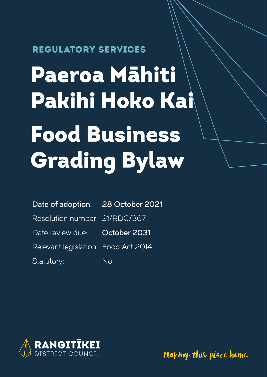#### REGULATORY SERVICES

# Paeroa Māhiti Pakihi Hoko Kai Food Business Grading Bylaw

#### Date of adoption: 28 October 2021

Resolution number: 21/RDC/367

Date review due: October 2031

Relevant legislation: Food Act 2014

Statutory: No



Making this place home.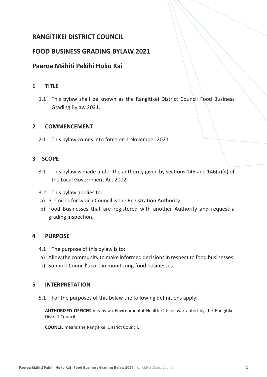#### **RANGITIKEI DISTRICT COUNCIL**

#### **FOOD BUSINESS GRADING BYLAW 2021**

#### **Paeroa Māhiti Pakihi Hoko Kai**

#### **1 TITLE**

1.1 This bylaw shall be known as the Rangitikei District Council Food Business Grading Bylaw 2021.

#### **2 COMMENCEMENT**

2.1 This bylaw comes into force on 1 November 2021

#### **3 SCOPE**

- 3.1 This bylaw is made under the authority given by sections 145 and 146(a)(v) of the Local Government Act 2002.
- 3.2 This bylaw applies to:
- a) Premises for which Council is the Registration Authority.
- b) Food Businesses that are registered with another Authority and request a grading inspection.

#### **4 PURPOSE**

- 4.1 The purpose of this bylaw is to:
- a) Allow the community to make informed decisions in respect to food businesses.
- b) Support Council's role in monitoring food businesses.

#### **5 INTERPRETATION**

5.1 For the purposes of this bylaw the following definitions apply:

**AUTHORISED OFFICER** means an Environmental Health Officer warranted by the Rangitikei District Council.

**COUNCIL** means the Rangitikei District Council.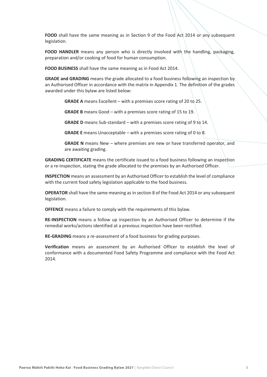**FOOD** shall have the same meaning as in Section 9 of the Food Act 2014 or any subsequent legislation.

**FOOD HANDLER** means any person who is directly involved with the handling, packaging, preparation and/or cooking of food for human consumption.

**FOOD BUSINESS** shall have the same meaning as in Food Act 2014.

**GRADE and GRADING** means the grade allocated to a food business following an inspection by an Authorised Officer in accordance with the matrix in Appendix 1. The definition of the grades awarded under this bylaw are listed below:

**GRADE A** means Excellent – with a premises score rating of 20 to 25.

**GRADE B** means Good – with a premises score rating of 15 to 19.

**GRADE D** means Sub-standard – with a premises score rating of 9 to 14.

**GRADE E** means Unacceptable – with a premises score rating of 0 to 8.

**GRADE N** means New – where premises are new or have transferred operator, and are awaiting grading.

**GRADING CERTIFICATE** means the certificate issued to a food business following an inspection or a re-inspection, stating the grade allocated to the premises by an Authorised Officer.

**INSPECTION** means an assessment by an Authorised Officer to establish the level of compliance with the current food safety legislation applicable to the food business.

**OPERATOR** shall have the same meaning as in section 8 of the Food Act 2014 or any subsequent legislation.

**OFFENCE** means a failure to comply with the requirements of this bylaw.

**RE-INSPECTION** means a follow up inspection by an Authorised Officer to determine if the remedial works/actions identified at a previous inspection have been rectified.

**RE-GRADING** means a re-assessment of a food business for grading purposes.

**Verification** means an assessment by an Authorised Officer to establish the level of conformance with a documented Food Safety Programme and compliance with the Food Act 2014.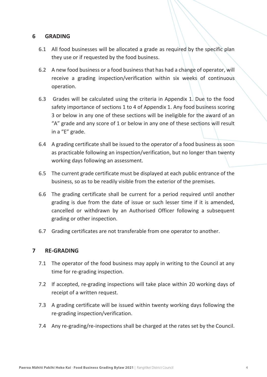#### **6 GRADING**

- 6.1 All food businesses will be allocated a grade as required by the specific plan they use or if requested by the food business.
- 6.2 A new food business or a food business that has had a change of operator, will receive a grading inspection/verification within six weeks of continuous operation.
- 6.3 Grades will be calculated using the criteria in Appendix 1. Due to the food safety importance of sections 1 to 4 of Appendix 1. Any food business scoring 3 or below in any one of these sections will be ineligible for the award of an "A" grade and any score of 1 or below in any one of these sections will result in a "E" grade.
- 6.4 A grading certificate shall be issued to the operator of a food business as soon as practicable following an inspection/verification, but no longer than twenty working days following an assessment.
- 6.5 The current grade certificate must be displayed at each public entrance of the business, so as to be readily visible from the exterior of the premises.
- 6.6 The grading certificate shall be current for a period required until another grading is due from the date of issue or such lesser time if it is amended, cancelled or withdrawn by an Authorised Officer following a subsequent grading or other inspection.
- 6.7 Grading certificates are not transferable from one operator to another.

#### **7 RE-GRADING**

- 7.1 The operator of the food business may apply in writing to the Council at any time for re-grading inspection.
- 7.2 If accepted, re-grading inspections will take place within 20 working days of receipt of a written request.
- 7.3 A grading certificate will be issued within twenty working days following the re-grading inspection/verification.
- 7.4 Any re-grading/re-inspections shall be charged at the rates set by the Council.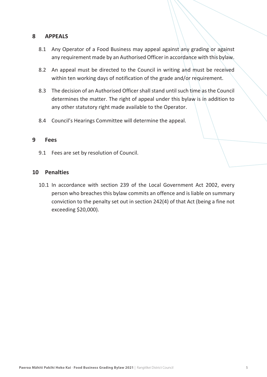#### **8 APPEALS**

- 8.1 Any Operator of a Food Business may appeal against any grading or against any requirement made by an Authorised Officer in accordance with this bylaw.
- 8.2 An appeal must be directed to the Council in writing and must be received within ten working days of notification of the grade and/or requirement.
- 8.3 The decision of an Authorised Officer shall stand until such time as the Council determines the matter. The right of appeal under this bylaw is in addition to any other statutory right made available to the Operator.
- 8.4 Council's Hearings Committee will determine the appeal.

#### **9 Fees**

9.1 Fees are set by resolution of Council.

#### **10 Penalties**

10.1 In accordance with section 239 of the Local Government Act 2002, every person who breaches this bylaw commits an offence and is liable on summary conviction to the penalty set out in section 242(4) of that Act (being a fine not exceeding \$20,000).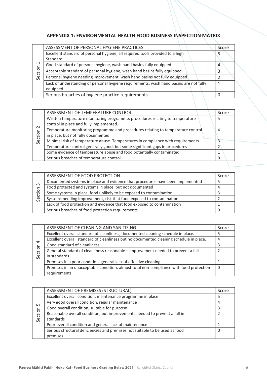#### **APPENDIX 1: ENVIRONMENTAL HEALTH FOOD BUSINESS INSPECTION MATRIX**

| $\mathbf{\mathbf{\mathsf{H}}}$<br>Section | ASSESSMENT OF PERSONAL HYGIENE PRACTICES                                               | Score |
|-------------------------------------------|----------------------------------------------------------------------------------------|-------|
|                                           | Excellent standard of personal hygiene, all required tools provided to a high          |       |
|                                           | Standard.                                                                              |       |
|                                           | Good standard of personal hygiene, wash hand basins fully equipped.                    | 4     |
|                                           | Acceptable standard of personal hygiene, wash hand basins fully equipped.              |       |
|                                           | Personal hygiene needing improvement, wash hand basins not fully equipped.             |       |
|                                           | Lack of understanding of personal hygiene requirements, wash hand basins are not fully |       |
|                                           | equipped.                                                                              |       |
|                                           | Serious breaches of hygiene practice requirements                                      |       |
|                                           |                                                                                        |       |

| $\sim$<br>Section | ASSESSMENT OF TEMPERATURE CONTROL                                               | Score |  |
|-------------------|---------------------------------------------------------------------------------|-------|--|
|                   | Written temperature monitoring programme, procedures relating to temperature    | 5     |  |
|                   | control in place and fully implemented.                                         |       |  |
|                   | Temperature monitoring programme and procedures relating to temperature control | 4     |  |
|                   | in place, but not fully documented.                                             |       |  |
|                   | Minimal risk of temperature abuse. Temperatures in compliance with requirements |       |  |
|                   | Temperature control generally good, but some significant gaps in procedures     |       |  |
|                   | Some evidence of temperature abuse and food potentially contaminated            |       |  |
|                   | Serious breaches of temperature control                                         | 0     |  |
|                   |                                                                                 |       |  |

| ന<br>ction<br>قى | ASSESSMENT OF FOOD PROTECTION                                                  | Score |
|------------------|--------------------------------------------------------------------------------|-------|
|                  | Documented systems in place and evidence that procedures have been implemented |       |
|                  | Food protected and systems in place, but not documented                        |       |
|                  | Some systems in place, food unlikely to be exposed to contamination            |       |
|                  | Systems needing improvement, risk that food exposed to contamination           |       |
|                  | Lack of food protection and evidence that food exposed to contamination        |       |
|                  | Serious breaches of food protection requirements                               |       |

| $\overline{a}$<br>Section | ASSESSMENT OF CLEANING AND SANITISING                                                   | Score |
|---------------------------|-----------------------------------------------------------------------------------------|-------|
|                           | Excellent overall standard of cleanliness, documented cleaning schedule in place.       |       |
|                           | Excellent overall standard of cleanliness but no documented cleaning schedule in place. |       |
|                           | Good standard of cleanliness                                                            |       |
|                           | General standard of cleanliness reasonable – improvement needed to prevent a fall       |       |
|                           | in standards                                                                            |       |
|                           | Premises in a poor condition, general lack of effective cleaning                        |       |
|                           | Premises in an unacceptable condition, almost total non-compliance with food protection |       |
|                           | requirements.                                                                           |       |

| ഥ<br>Section | ASSESSMENT OF PREMISES (STRUCTURAL)                                          | Score |
|--------------|------------------------------------------------------------------------------|-------|
|              | Excellent overall condition, maintenance programme in place                  |       |
|              | Very good overall condition, regular maintenance                             | 4     |
|              | Good overall condition, suitable for purpose                                 |       |
|              | Reasonable overall condition, but improvements needed to prevent a fall in   |       |
|              | standards                                                                    |       |
|              | Poor overall condition and general lack of maintenance                       |       |
|              | Serious structural deficiencies and premises not suitable to be used as food | 0     |
|              | premises                                                                     |       |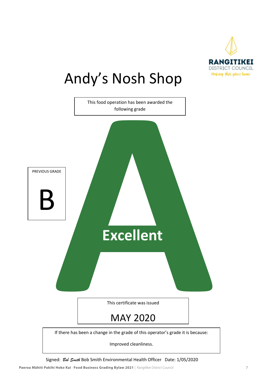

# Andy's Nosh Shop



Signed: *Bob Smith* Bob Smith Environmental Health Officer Date: 1/05/2020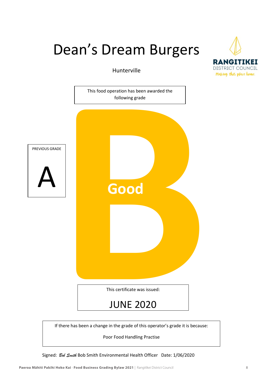## Dean's Dream Burgers

Hunterville



Poor Food Handling Practise

Signed: *Bob Smith* Bob Smith Environmental Health Officer Date: 1/06/2020

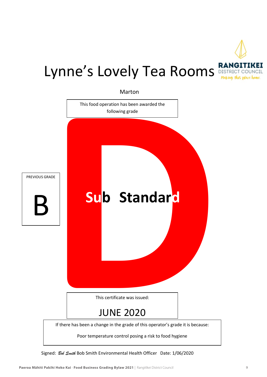

# Lynne's Lovely Tea Rooms **RANGITIKE!**



Signed: *Bob Smith* Bob Smith Environmental Health Officer Date: 1/06/2020